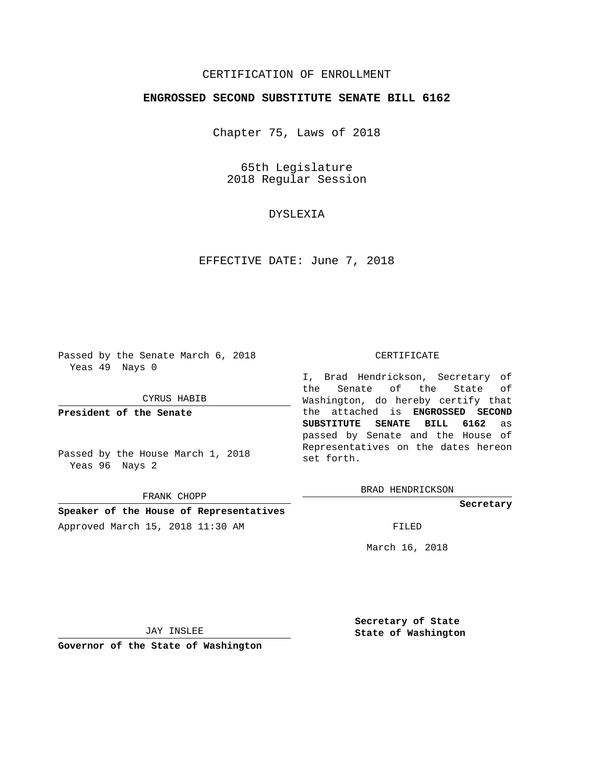# CERTIFICATION OF ENROLLMENT

### **ENGROSSED SECOND SUBSTITUTE SENATE BILL 6162**

Chapter 75, Laws of 2018

65th Legislature 2018 Regular Session

# DYSLEXIA

EFFECTIVE DATE: June 7, 2018

Passed by the Senate March 6, 2018 Yeas 49 Nays 0

CYRUS HABIB

**President of the Senate**

Passed by the House March 1, 2018 Yeas 96 Nays 2

FRANK CHOPP

# **Speaker of the House of Representatives** Approved March 15, 2018 11:30 AM FILED

#### CERTIFICATE

I, Brad Hendrickson, Secretary of the Senate of the State of Washington, do hereby certify that the attached is **ENGROSSED SECOND SUBSTITUTE SENATE BILL 6162** as passed by Senate and the House of Representatives on the dates hereon set forth.

BRAD HENDRICKSON

**Secretary**

March 16, 2018

JAY INSLEE

**Governor of the State of Washington**

**Secretary of State State of Washington**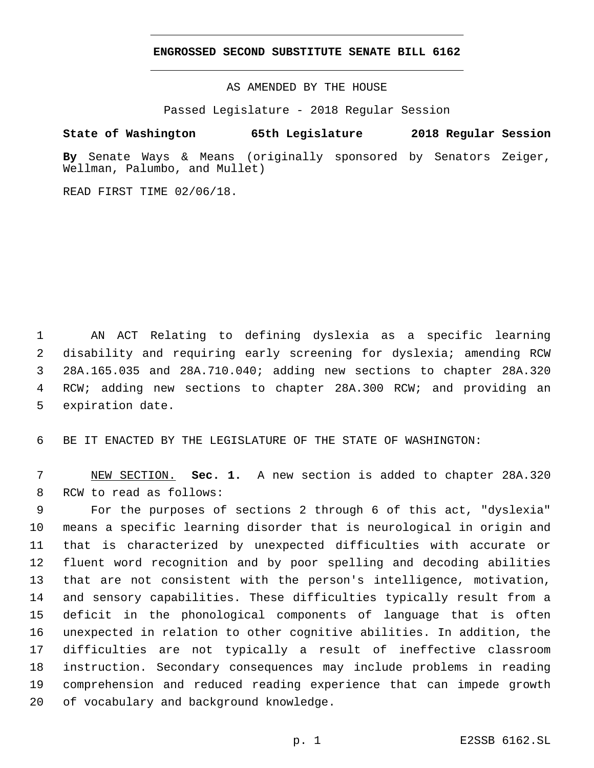### **ENGROSSED SECOND SUBSTITUTE SENATE BILL 6162**

AS AMENDED BY THE HOUSE

Passed Legislature - 2018 Regular Session

# **State of Washington 65th Legislature 2018 Regular Session**

**By** Senate Ways & Means (originally sponsored by Senators Zeiger, Wellman, Palumbo, and Mullet)

READ FIRST TIME 02/06/18.

 AN ACT Relating to defining dyslexia as a specific learning disability and requiring early screening for dyslexia; amending RCW 28A.165.035 and 28A.710.040; adding new sections to chapter 28A.320 RCW; adding new sections to chapter 28A.300 RCW; and providing an 5 expiration date.

BE IT ENACTED BY THE LEGISLATURE OF THE STATE OF WASHINGTON:

 NEW SECTION. **Sec. 1.** A new section is added to chapter 28A.320 8 RCW to read as follows:

 For the purposes of sections 2 through 6 of this act, "dyslexia" means a specific learning disorder that is neurological in origin and that is characterized by unexpected difficulties with accurate or fluent word recognition and by poor spelling and decoding abilities that are not consistent with the person's intelligence, motivation, and sensory capabilities. These difficulties typically result from a deficit in the phonological components of language that is often unexpected in relation to other cognitive abilities. In addition, the difficulties are not typically a result of ineffective classroom instruction. Secondary consequences may include problems in reading comprehension and reduced reading experience that can impede growth 20 of vocabulary and background knowledge.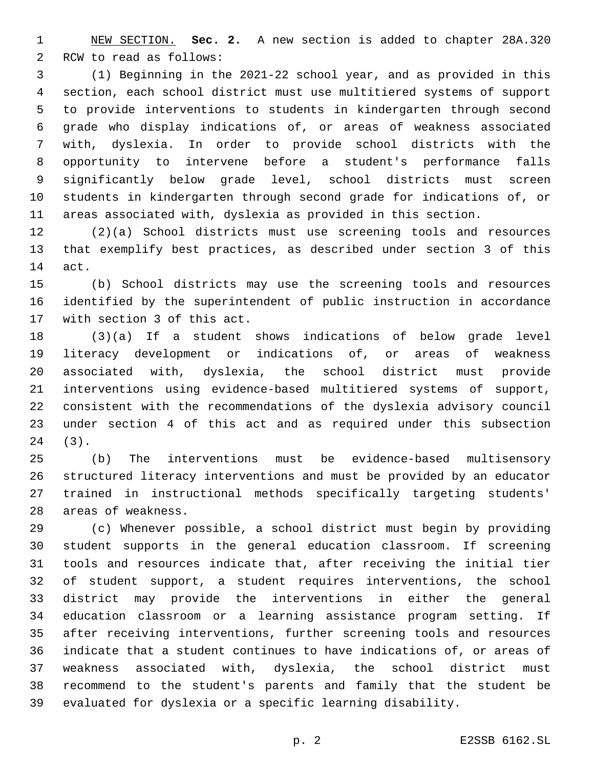NEW SECTION. **Sec. 2.** A new section is added to chapter 28A.320 2 RCW to read as follows:

 (1) Beginning in the 2021-22 school year, and as provided in this section, each school district must use multitiered systems of support to provide interventions to students in kindergarten through second grade who display indications of, or areas of weakness associated with, dyslexia. In order to provide school districts with the opportunity to intervene before a student's performance falls significantly below grade level, school districts must screen students in kindergarten through second grade for indications of, or areas associated with, dyslexia as provided in this section.

 (2)(a) School districts must use screening tools and resources that exemplify best practices, as described under section 3 of this 14 act.

 (b) School districts may use the screening tools and resources identified by the superintendent of public instruction in accordance 17 with section 3 of this act.

 (3)(a) If a student shows indications of below grade level literacy development or indications of, or areas of weakness associated with, dyslexia, the school district must provide interventions using evidence-based multitiered systems of support, consistent with the recommendations of the dyslexia advisory council under section 4 of this act and as required under this subsection (3).24

 (b) The interventions must be evidence-based multisensory structured literacy interventions and must be provided by an educator trained in instructional methods specifically targeting students' 28 areas of weakness.

 (c) Whenever possible, a school district must begin by providing student supports in the general education classroom. If screening tools and resources indicate that, after receiving the initial tier of student support, a student requires interventions, the school district may provide the interventions in either the general education classroom or a learning assistance program setting. If after receiving interventions, further screening tools and resources indicate that a student continues to have indications of, or areas of weakness associated with, dyslexia, the school district must recommend to the student's parents and family that the student be evaluated for dyslexia or a specific learning disability.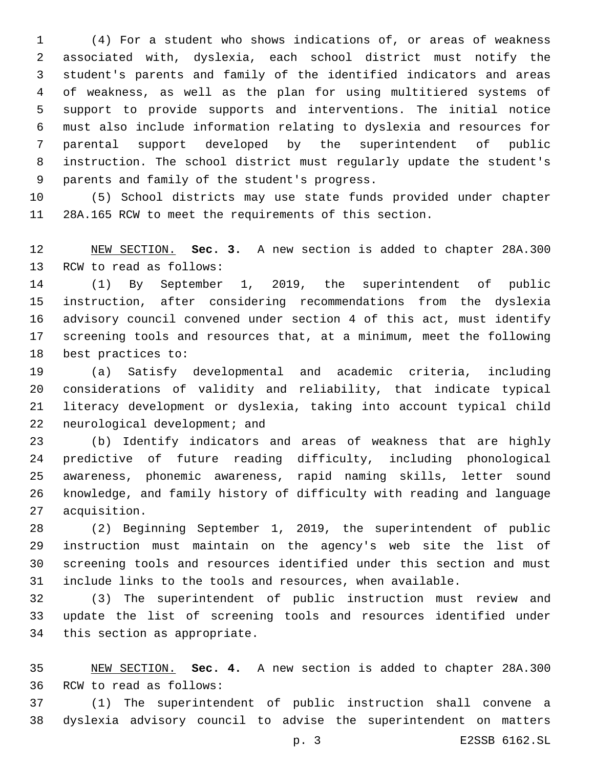(4) For a student who shows indications of, or areas of weakness associated with, dyslexia, each school district must notify the student's parents and family of the identified indicators and areas of weakness, as well as the plan for using multitiered systems of support to provide supports and interventions. The initial notice must also include information relating to dyslexia and resources for parental support developed by the superintendent of public instruction. The school district must regularly update the student's 9 parents and family of the student's progress.

 (5) School districts may use state funds provided under chapter 28A.165 RCW to meet the requirements of this section.

 NEW SECTION. **Sec. 3.** A new section is added to chapter 28A.300 13 RCW to read as follows:

 (1) By September 1, 2019, the superintendent of public instruction, after considering recommendations from the dyslexia advisory council convened under section 4 of this act, must identify screening tools and resources that, at a minimum, meet the following 18 best practices to:

 (a) Satisfy developmental and academic criteria, including considerations of validity and reliability, that indicate typical literacy development or dyslexia, taking into account typical child 22 neurological development; and

 (b) Identify indicators and areas of weakness that are highly predictive of future reading difficulty, including phonological awareness, phonemic awareness, rapid naming skills, letter sound knowledge, and family history of difficulty with reading and language 27 acquisition.

 (2) Beginning September 1, 2019, the superintendent of public instruction must maintain on the agency's web site the list of screening tools and resources identified under this section and must include links to the tools and resources, when available.

 (3) The superintendent of public instruction must review and update the list of screening tools and resources identified under 34 this section as appropriate.

 NEW SECTION. **Sec. 4.** A new section is added to chapter 28A.300 36 RCW to read as follows:

 (1) The superintendent of public instruction shall convene a dyslexia advisory council to advise the superintendent on matters

p. 3 E2SSB 6162.SL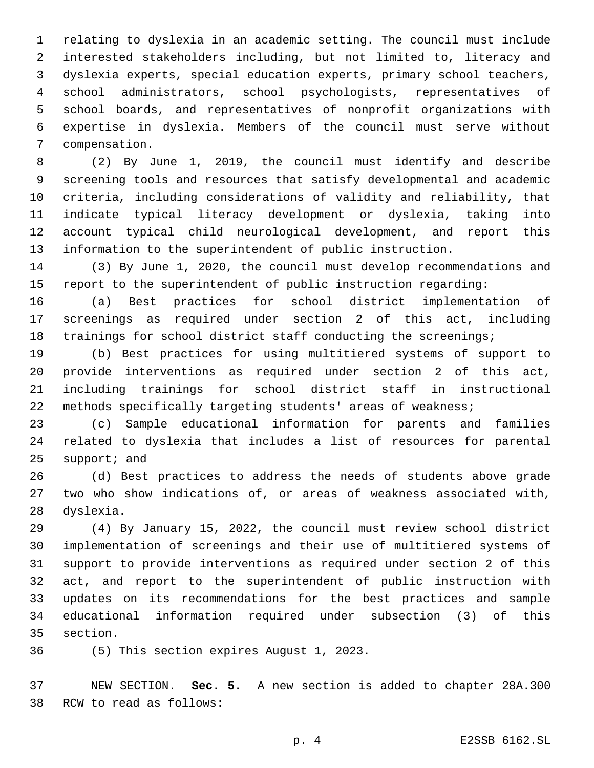relating to dyslexia in an academic setting. The council must include interested stakeholders including, but not limited to, literacy and dyslexia experts, special education experts, primary school teachers, school administrators, school psychologists, representatives of school boards, and representatives of nonprofit organizations with expertise in dyslexia. Members of the council must serve without 7 compensation.

 (2) By June 1, 2019, the council must identify and describe screening tools and resources that satisfy developmental and academic criteria, including considerations of validity and reliability, that indicate typical literacy development or dyslexia, taking into account typical child neurological development, and report this information to the superintendent of public instruction.

 (3) By June 1, 2020, the council must develop recommendations and report to the superintendent of public instruction regarding:

 (a) Best practices for school district implementation of screenings as required under section 2 of this act, including trainings for school district staff conducting the screenings;

 (b) Best practices for using multitiered systems of support to provide interventions as required under section 2 of this act, including trainings for school district staff in instructional methods specifically targeting students' areas of weakness;

 (c) Sample educational information for parents and families related to dyslexia that includes a list of resources for parental support; and

 (d) Best practices to address the needs of students above grade two who show indications of, or areas of weakness associated with, 28 dyslexia.

 (4) By January 15, 2022, the council must review school district implementation of screenings and their use of multitiered systems of support to provide interventions as required under section 2 of this act, and report to the superintendent of public instruction with updates on its recommendations for the best practices and sample educational information required under subsection (3) of this 35 section.

36 (5) This section expires August 1, 2023.

 NEW SECTION. **Sec. 5.** A new section is added to chapter 28A.300 38 RCW to read as follows: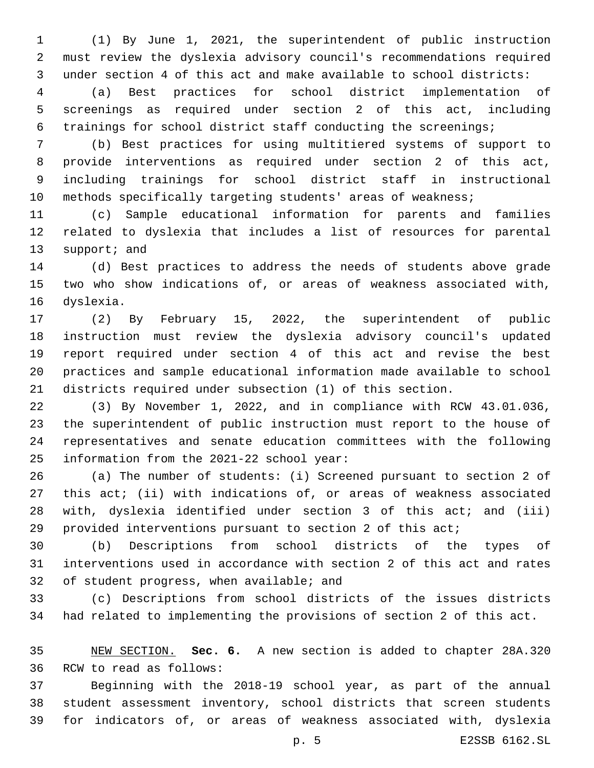(1) By June 1, 2021, the superintendent of public instruction must review the dyslexia advisory council's recommendations required under section 4 of this act and make available to school districts:

 (a) Best practices for school district implementation of screenings as required under section 2 of this act, including trainings for school district staff conducting the screenings;

 (b) Best practices for using multitiered systems of support to provide interventions as required under section 2 of this act, including trainings for school district staff in instructional methods specifically targeting students' areas of weakness;

 (c) Sample educational information for parents and families related to dyslexia that includes a list of resources for parental 13 support; and

 (d) Best practices to address the needs of students above grade two who show indications of, or areas of weakness associated with, 16 dyslexia.

 (2) By February 15, 2022, the superintendent of public instruction must review the dyslexia advisory council's updated report required under section 4 of this act and revise the best practices and sample educational information made available to school districts required under subsection (1) of this section.

 (3) By November 1, 2022, and in compliance with RCW 43.01.036, the superintendent of public instruction must report to the house of representatives and senate education committees with the following 25 information from the 2021-22 school year:

 (a) The number of students: (i) Screened pursuant to section 2 of this act; (ii) with indications of, or areas of weakness associated with, dyslexia identified under section 3 of this act; and (iii) provided interventions pursuant to section 2 of this act;

 (b) Descriptions from school districts of the types of interventions used in accordance with section 2 of this act and rates 32 of student progress, when available; and

 (c) Descriptions from school districts of the issues districts had related to implementing the provisions of section 2 of this act.

 NEW SECTION. **Sec. 6.** A new section is added to chapter 28A.320 36 RCW to read as follows:

 Beginning with the 2018-19 school year, as part of the annual student assessment inventory, school districts that screen students for indicators of, or areas of weakness associated with, dyslexia

p. 5 E2SSB 6162.SL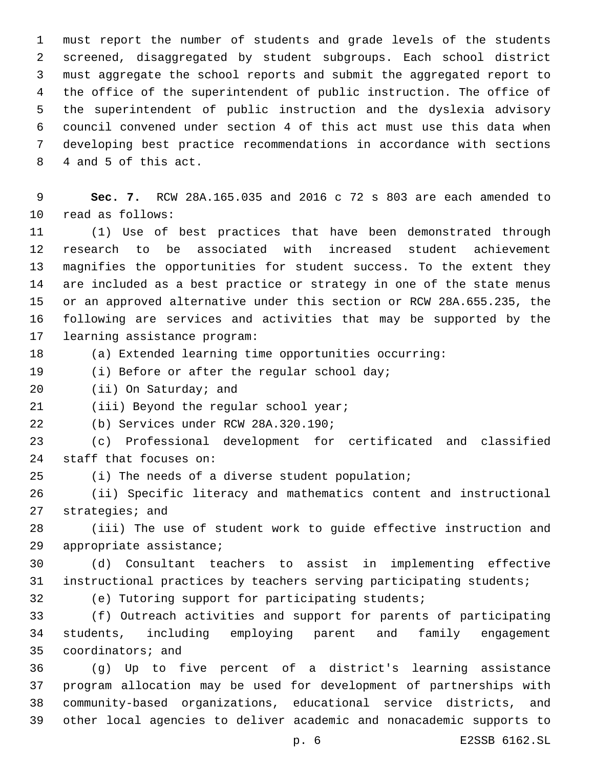must report the number of students and grade levels of the students screened, disaggregated by student subgroups. Each school district must aggregate the school reports and submit the aggregated report to the office of the superintendent of public instruction. The office of the superintendent of public instruction and the dyslexia advisory council convened under section 4 of this act must use this data when developing best practice recommendations in accordance with sections 8 4 and 5 of this act.

 **Sec. 7.** RCW 28A.165.035 and 2016 c 72 s 803 are each amended to 10 read as follows:

 (1) Use of best practices that have been demonstrated through research to be associated with increased student achievement magnifies the opportunities for student success. To the extent they are included as a best practice or strategy in one of the state menus or an approved alternative under this section or RCW 28A.655.235, the following are services and activities that may be supported by the 17 learning assistance program:

(a) Extended learning time opportunities occurring:

19 (i) Before or after the regular school day;

20 (ii) On Saturday; and

21 (iii) Beyond the regular school year;

(b) Services under RCW 28A.320.190;22

 (c) Professional development for certificated and classified 24 staff that focuses on:

(i) The needs of a diverse student population;

 (ii) Specific literacy and mathematics content and instructional 27 strategies; and

 (iii) The use of student work to guide effective instruction and 29 appropriate assistance;

 (d) Consultant teachers to assist in implementing effective instructional practices by teachers serving participating students;

(e) Tutoring support for participating students;

 (f) Outreach activities and support for parents of participating students, including employing parent and family engagement 35 coordinators; and

 (g) Up to five percent of a district's learning assistance program allocation may be used for development of partnerships with community-based organizations, educational service districts, and other local agencies to deliver academic and nonacademic supports to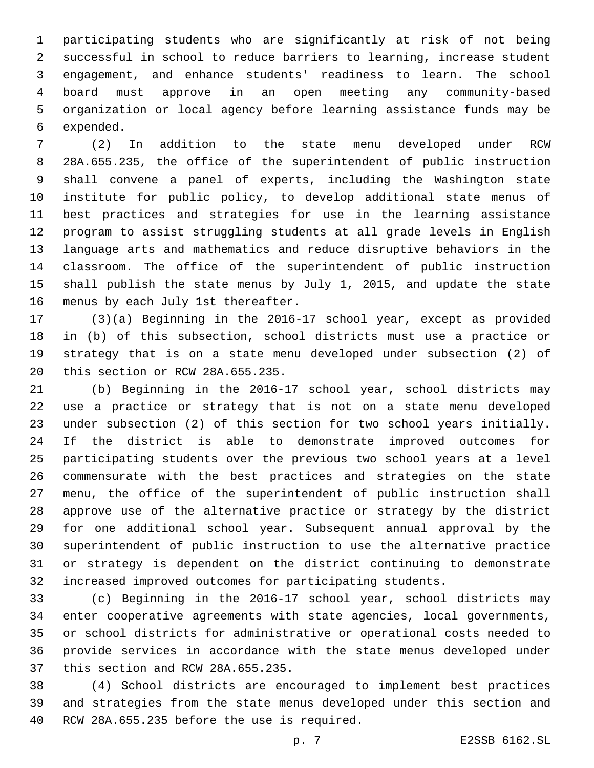participating students who are significantly at risk of not being successful in school to reduce barriers to learning, increase student engagement, and enhance students' readiness to learn. The school board must approve in an open meeting any community-based organization or local agency before learning assistance funds may be 6 expended.

 (2) In addition to the state menu developed under RCW 28A.655.235, the office of the superintendent of public instruction shall convene a panel of experts, including the Washington state institute for public policy, to develop additional state menus of best practices and strategies for use in the learning assistance program to assist struggling students at all grade levels in English language arts and mathematics and reduce disruptive behaviors in the classroom. The office of the superintendent of public instruction shall publish the state menus by July 1, 2015, and update the state 16 menus by each July 1st thereafter.

 (3)(a) Beginning in the 2016-17 school year, except as provided in (b) of this subsection, school districts must use a practice or strategy that is on a state menu developed under subsection (2) of 20 this section or RCW 28A.655.235.

 (b) Beginning in the 2016-17 school year, school districts may use a practice or strategy that is not on a state menu developed under subsection (2) of this section for two school years initially. If the district is able to demonstrate improved outcomes for participating students over the previous two school years at a level commensurate with the best practices and strategies on the state menu, the office of the superintendent of public instruction shall approve use of the alternative practice or strategy by the district for one additional school year. Subsequent annual approval by the superintendent of public instruction to use the alternative practice or strategy is dependent on the district continuing to demonstrate increased improved outcomes for participating students.

 (c) Beginning in the 2016-17 school year, school districts may enter cooperative agreements with state agencies, local governments, or school districts for administrative or operational costs needed to provide services in accordance with the state menus developed under 37 this section and RCW 28A.655.235.

 (4) School districts are encouraged to implement best practices and strategies from the state menus developed under this section and 40 RCW 28A.655.235 before the use is required.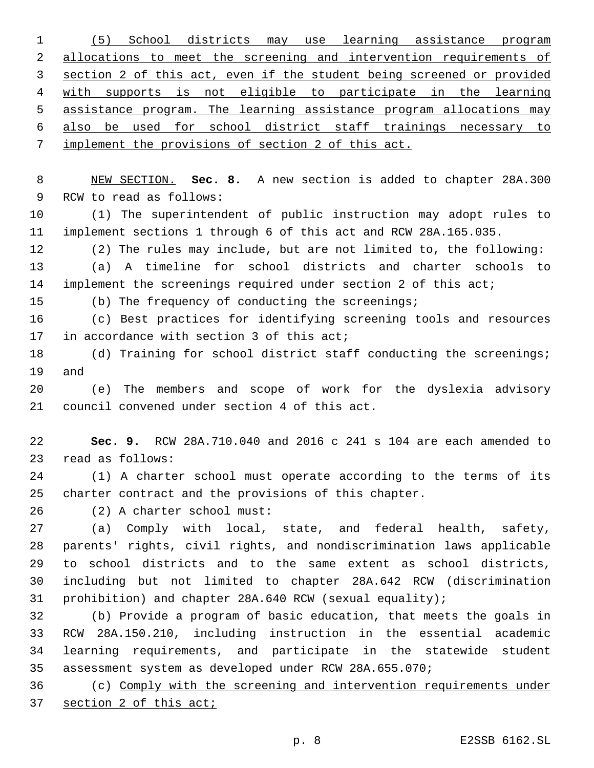(5) School districts may use learning assistance program 2 allocations to meet the screening and intervention requirements of section 2 of this act, even if the student being screened or provided with supports is not eligible to participate in the learning assistance program. The learning assistance program allocations may also be used for school district staff trainings necessary to implement the provisions of section 2 of this act.

 NEW SECTION. **Sec. 8.** A new section is added to chapter 28A.300 9 RCW to read as follows:

 (1) The superintendent of public instruction may adopt rules to implement sections 1 through 6 of this act and RCW 28A.165.035.

 (2) The rules may include, but are not limited to, the following: (a) A timeline for school districts and charter schools to implement the screenings required under section 2 of this act;

(b) The frequency of conducting the screenings;

 (c) Best practices for identifying screening tools and resources 17 in accordance with section 3 of this act;

18 (d) Training for school district staff conducting the screenings; 19 and

 (e) The members and scope of work for the dyslexia advisory 21 council convened under section 4 of this act.

 **Sec. 9.** RCW 28A.710.040 and 2016 c 241 s 104 are each amended to 23 read as follows:

 (1) A charter school must operate according to the terms of its charter contract and the provisions of this chapter.

(2) A charter school must:26

 (a) Comply with local, state, and federal health, safety, parents' rights, civil rights, and nondiscrimination laws applicable to school districts and to the same extent as school districts, including but not limited to chapter 28A.642 RCW (discrimination prohibition) and chapter 28A.640 RCW (sexual equality);

 (b) Provide a program of basic education, that meets the goals in RCW 28A.150.210, including instruction in the essential academic learning requirements, and participate in the statewide student assessment system as developed under RCW 28A.655.070;

 (c) Comply with the screening and intervention requirements under section 2 of this act;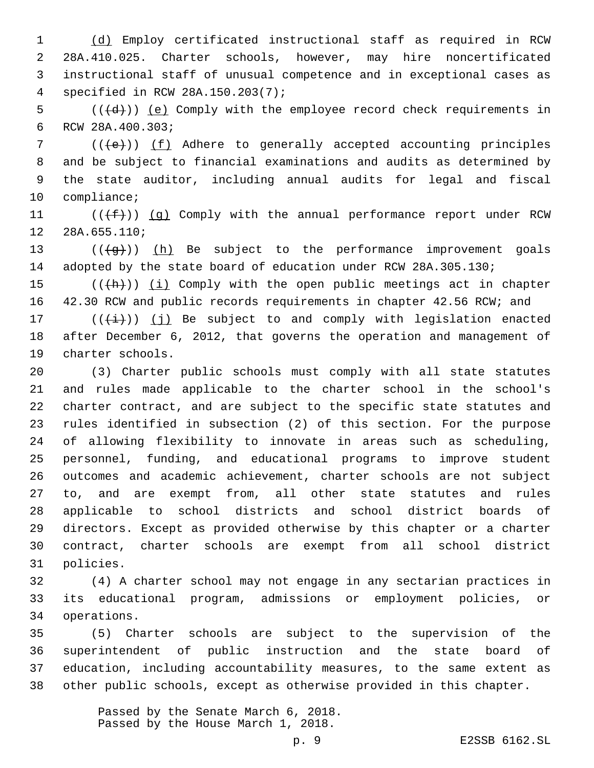(d) Employ certificated instructional staff as required in RCW 28A.410.025. Charter schools, however, may hire noncertificated instructional staff of unusual competence and in exceptional cases as specified in RCW 28A.150.203(7);4

 (( $\left(\frac{d}{d}\right)$ ) (e) Comply with the employee record check requirements in 6 RCW 28A.400.303;

 (( $\left( +e \right)$ )) (f) Adhere to generally accepted accounting principles and be subject to financial examinations and audits as determined by the state auditor, including annual audits for legal and fiscal 10 compliance;

11  $((\text{+f-}))(q)$  Comply with the annual performance report under RCW 12 28A.655.110;

13  $((\frac{1}{2})^n)(h)$  Be subject to the performance improvement goals 14 adopted by the state board of education under RCW 28A.305.130;

 $((+h))$  (i) Comply with the open public meetings act in chapter 42.30 RCW and public records requirements in chapter 42.56 RCW; and

17  $((\overrightarrow{i}))(j)$  Be subject to and comply with legislation enacted after December 6, 2012, that governs the operation and management of 19 charter schools.

 (3) Charter public schools must comply with all state statutes and rules made applicable to the charter school in the school's charter contract, and are subject to the specific state statutes and rules identified in subsection (2) of this section. For the purpose of allowing flexibility to innovate in areas such as scheduling, personnel, funding, and educational programs to improve student outcomes and academic achievement, charter schools are not subject to, and are exempt from, all other state statutes and rules applicable to school districts and school district boards of directors. Except as provided otherwise by this chapter or a charter contract, charter schools are exempt from all school district 31 policies.

 (4) A charter school may not engage in any sectarian practices in its educational program, admissions or employment policies, or operations.34

 (5) Charter schools are subject to the supervision of the superintendent of public instruction and the state board of education, including accountability measures, to the same extent as other public schools, except as otherwise provided in this chapter.

> Passed by the Senate March 6, 2018. Passed by the House March 1, 2018.